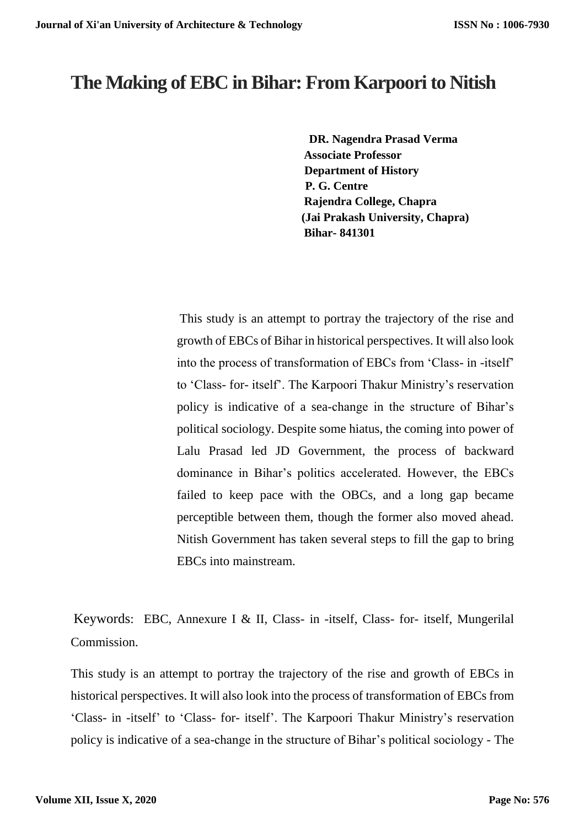# **The M***a***king of EBC in Bihar: From Karpoori to Nitish**

 **DR. Nagendra Prasad Verma Associate Professor Department of History P. G. Centre Rajendra College, Chapra (Jai Prakash University, Chapra) Bihar- 841301**

This study is an attempt to portray the trajectory of the rise and growth of EBCs of Bihar in historical perspectives. It will also look into the process of transformation of EBCs from 'Class- in -itself' to 'Class- for- itself'. The Karpoori Thakur Ministry's reservation policy is indicative of a sea-change in the structure of Bihar's political sociology. Despite some hiatus, the coming into power of Lalu Prasad led JD Government, the process of backward dominance in Bihar's politics accelerated. However, the EBCs failed to keep pace with the OBCs, and a long gap became perceptible between them, though the former also moved ahead. Nitish Government has taken several steps to fill the gap to bring EBCs into mainstream.

Keywords: EBC, Annexure I & II, Class- in -itself, Class- for- itself, Mungerilal Commission.

This study is an attempt to portray the trajectory of the rise and growth of EBCs in historical perspectives. It will also look into the process of transformation of EBCs from 'Class- in -itself' to 'Class- for- itself'. The Karpoori Thakur Ministry's reservation policy is indicative of a sea-change in the structure of Bihar's political sociology - The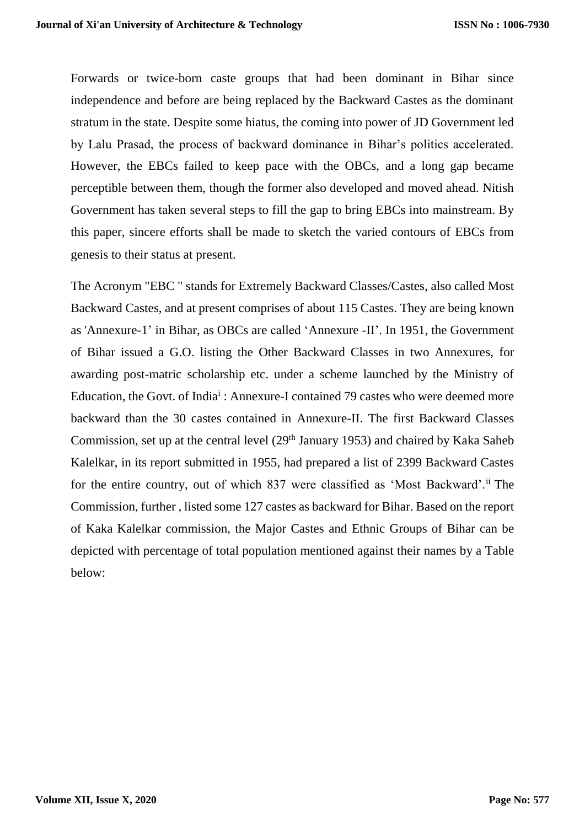Forwards or twice-born caste groups that had been dominant in Bihar since independence and before are being replaced by the Backward Castes as the dominant stratum in the state. Despite some hiatus, the coming into power of JD Government led by Lalu Prasad, the process of backward dominance in Bihar's politics accelerated. However, the EBCs failed to keep pace with the OBCs, and a long gap became perceptible between them, though the former also developed and moved ahead. Nitish Government has taken several steps to fill the gap to bring EBCs into mainstream. By this paper, sincere efforts shall be made to sketch the varied contours of EBCs from genesis to their status at present.

The Acronym "EBC " stands for Extremely Backward Classes/Castes, also called Most Backward Castes, and at present comprises of about 115 Castes. They are being known as 'Annexure-1' in Bihar, as OBCs are called 'Annexure -II'. In 1951, the Government of Bihar issued a G.O. listing the Other Backward Classes in two Annexures, for awarding post-matric scholarship etc. under a scheme launched by the Ministry of Education, the Govt. of India<sup>i</sup>: Annexure-I contained 79 castes who were deemed more backward than the 30 castes contained in Annexure-II. The first Backward Classes Commission, set up at the central level (29<sup>th</sup> January 1953) and chaired by Kaka Saheb Kalelkar, in its report submitted in 1955, had prepared a list of 2399 Backward Castes for the entire country, out of which 837 were classified as 'Most Backward'.ii The Commission, further , listed some 127 castes as backward for Bihar. Based on the report of Kaka Kalelkar commission, the Major Castes and Ethnic Groups of Bihar can be depicted with percentage of total population mentioned against their names by a Table below: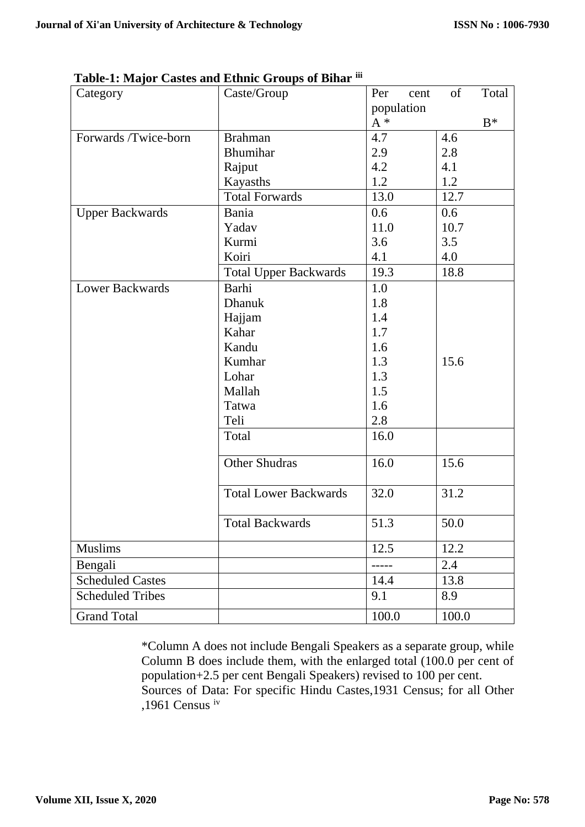| Category                | Caste/Group                  | Per<br>cent | Total<br>of |
|-------------------------|------------------------------|-------------|-------------|
|                         |                              | population  |             |
|                         |                              | $A^*$       | $B^*$       |
| Forwards /Twice-born    | <b>Brahman</b>               | 4.7         | 4.6         |
|                         | Bhumihar                     | 2.9         | 2.8         |
|                         | Rajput                       | 4.2         | 4.1         |
|                         | Kayasths                     | 1.2         | 1.2         |
|                         | <b>Total Forwards</b>        | 13.0        | 12.7        |
| <b>Upper Backwards</b>  | Bania                        | 0.6         | 0.6         |
|                         | Yadav                        | 11.0        | 10.7        |
|                         | Kurmi                        | 3.6         | 3.5         |
|                         | Koiri                        | 4.1         | 4.0         |
|                         | <b>Total Upper Backwards</b> | 19.3        | 18.8        |
| <b>Lower Backwards</b>  | Barhi                        | 1.0         |             |
|                         | <b>Dhanuk</b>                | 1.8         |             |
|                         | Hajjam                       | 1.4         |             |
|                         | Kahar                        | 1.7         |             |
|                         | Kandu                        | 1.6         |             |
|                         | Kumhar                       | 1.3         | 15.6        |
|                         | Lohar                        | 1.3         |             |
|                         | Mallah                       | 1.5         |             |
|                         | Tatwa                        | 1.6         |             |
|                         | Teli                         | 2.8         |             |
|                         | Total                        | 16.0        |             |
|                         | <b>Other Shudras</b>         | 16.0        | 15.6        |
|                         | <b>Total Lower Backwards</b> | 32.0        | 31.2        |
|                         | <b>Total Backwards</b>       | 51.3        | 50.0        |
|                         |                              |             |             |
| Muslims                 |                              | 12.5        | 12.2        |
| Bengali                 |                              |             | 2.4         |
| <b>Scheduled Castes</b> |                              | 14.4        | 13.8        |
| <b>Scheduled Tribes</b> |                              | 9.1         | 8.9         |
| <b>Grand Total</b>      |                              | 100.0       | 100.0       |

**Table-1: Major Castes and Ethnic Groups of Bihar iii**

\*Column A does not include Bengali Speakers as a separate group, while Column B does include them, with the enlarged total (100.0 per cent of population+2.5 per cent Bengali Speakers) revised to 100 per cent. Sources of Data: For specific Hindu Castes,1931 Census; for all Other ,1961 Census iv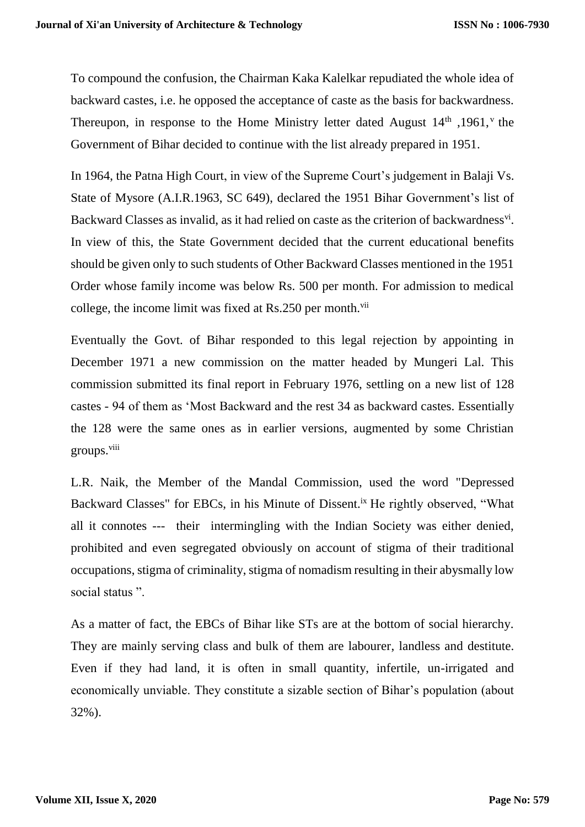To compound the confusion, the Chairman Kaka Kalelkar repudiated the whole idea of backward castes, i.e. he opposed the acceptance of caste as the basis for backwardness. Thereupon, in response to the Home Ministry letter dated August  $14<sup>th</sup>$ , 1961, <sup>v</sup> the Government of Bihar decided to continue with the list already prepared in 1951.

In 1964, the Patna High Court, in view of the Supreme Court's judgement in Balaji Vs. State of Mysore (A.I.R.1963, SC 649), declared the 1951 Bihar Government's list of Backward Classes as invalid, as it had relied on caste as the criterion of backwardness<sup>vi</sup>. In view of this, the State Government decided that the current educational benefits should be given only to such students of Other Backward Classes mentioned in the 1951 Order whose family income was below Rs. 500 per month. For admission to medical college, the income limit was fixed at Rs.250 per month.<sup>vii</sup>

Eventually the Govt. of Bihar responded to this legal rejection by appointing in December 1971 a new commission on the matter headed by Mungeri Lal. This commission submitted its final report in February 1976, settling on a new list of 128 castes - 94 of them as 'Most Backward and the rest 34 as backward castes. Essentially the 128 were the same ones as in earlier versions, augmented by some Christian groups.<sup>viii</sup>

L.R. Naik, the Member of the Mandal Commission, used the word "Depressed Backward Classes" for EBCs, in his Minute of Dissent.<sup>ix</sup> He rightly observed, "What all it connotes --- their intermingling with the Indian Society was either denied, prohibited and even segregated obviously on account of stigma of their traditional occupations, stigma of criminality, stigma of nomadism resulting in their abysmally low social status".

As a matter of fact, the EBCs of Bihar like STs are at the bottom of social hierarchy. They are mainly serving class and bulk of them are labourer, landless and destitute. Even if they had land, it is often in small quantity, infertile, un-irrigated and economically unviable. They constitute a sizable section of Bihar's population (about 32%).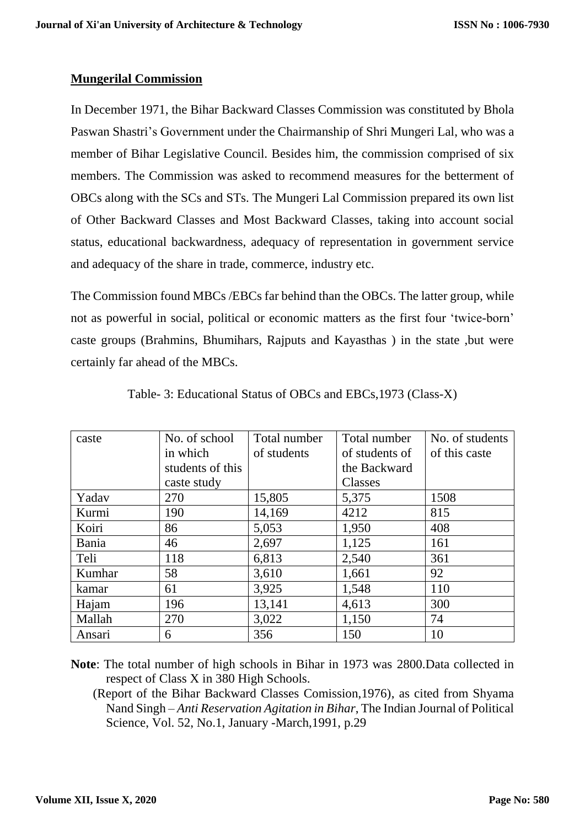# **Mungerilal Commission**

In December 1971, the Bihar Backward Classes Commission was constituted by Bhola Paswan Shastri's Government under the Chairmanship of Shri Mungeri Lal, who was a member of Bihar Legislative Council. Besides him, the commission comprised of six members. The Commission was asked to recommend measures for the betterment of OBCs along with the SCs and STs. The Mungeri Lal Commission prepared its own list of Other Backward Classes and Most Backward Classes, taking into account social status, educational backwardness, adequacy of representation in government service and adequacy of the share in trade, commerce, industry etc.

The Commission found MBCs /EBCs far behind than the OBCs. The latter group, while not as powerful in social, political or economic matters as the first four 'twice-born' caste groups (Brahmins, Bhumihars, Rajputs and Kayasthas ) in the state ,but were certainly far ahead of the MBCs.

| caste  | No. of school    | Total number | Total number   | No. of students |
|--------|------------------|--------------|----------------|-----------------|
|        | in which         | of students  | of students of | of this caste   |
|        | students of this |              | the Backward   |                 |
|        | caste study      |              | Classes        |                 |
| Yadav  | 270              | 15,805       | 5,375          | 1508            |
| Kurmi  | 190              | 14,169       | 4212           | 815             |
| Koiri  | 86               | 5,053        | 1,950          | 408             |
| Bania  | 46               | 2,697        | 1,125          | 161             |
| Teli   | 118              | 6,813        | 2,540          | 361             |
| Kumhar | 58               | 3,610        | 1,661          | 92              |
| kamar  | 61               | 3,925        | 1,548          | 110             |
| Hajam  | 196              | 13,141       | 4,613          | 300             |
| Mallah | 270              | 3,022        | 1,150          | 74              |
| Ansari | 6                | 356          | 150            | 10              |

Table- 3: Educational Status of OBCs and EBCs,1973 (Class-X)

**Note**: The total number of high schools in Bihar in 1973 was 2800.Data collected in respect of Class X in 380 High Schools.

 (Report of the Bihar Backward Classes Comission,1976), as cited from Shyama Nand Singh – *Anti Reservation Agitation in Bihar*, The Indian Journal of Political Science, Vol. 52, No.1, January -March,1991, p.29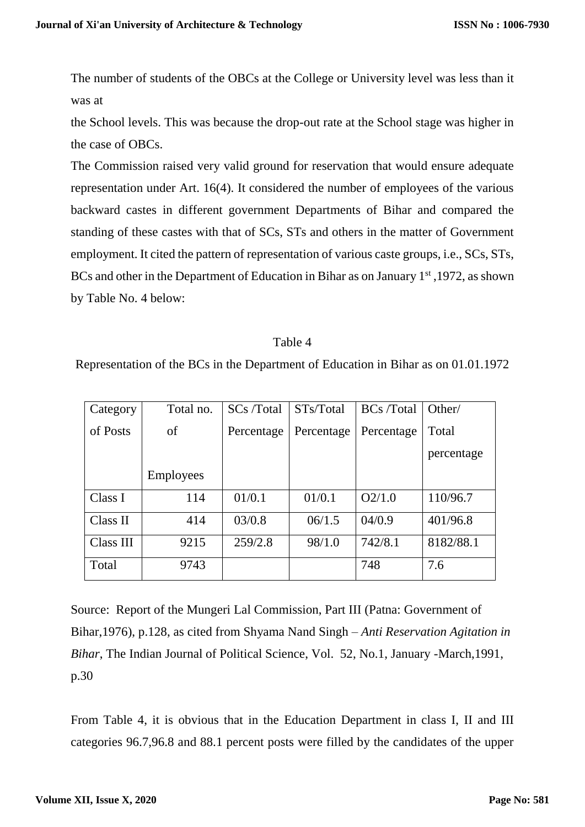The number of students of the OBCs at the College or University level was less than it was at

the School levels. This was because the drop-out rate at the School stage was higher in the case of OBCs.

The Commission raised very valid ground for reservation that would ensure adequate representation under Art. 16(4). It considered the number of employees of the various backward castes in different government Departments of Bihar and compared the standing of these castes with that of SCs, STs and others in the matter of Government employment. It cited the pattern of representation of various caste groups, i.e., SCs, STs, BCs and other in the Department of Education in Bihar as on January 1<sup>st</sup>, 1972, as shown by Table No. 4 below:

#### Table 4

Representation of the BCs in the Department of Education in Bihar as on 01.01.1972

| Category  | Total no.        | SCs /Total | STs/Total  | <b>BCs</b> /Total | Other/     |
|-----------|------------------|------------|------------|-------------------|------------|
| of Posts  | of               | Percentage | Percentage | Percentage        | Total      |
|           |                  |            |            |                   | percentage |
|           | <b>Employees</b> |            |            |                   |            |
| Class I   | 114              | 01/0.1     | 01/0.1     | O2/1.0            | 110/96.7   |
| Class II  | 414              | 03/0.8     | 06/1.5     | 04/0.9            | 401/96.8   |
| Class III | 9215             | 259/2.8    | 98/1.0     | 742/8.1           | 8182/88.1  |
| Total     | 9743             |            |            | 748               | 7.6        |

Source: Report of the Mungeri Lal Commission, Part III (Patna: Government of Bihar,1976), p.128, as cited from Shyama Nand Singh – *Anti Reservation Agitation in Bihar*, The Indian Journal of Political Science, Vol. 52, No.1, January -March,1991, p.30

From Table 4, it is obvious that in the Education Department in class I, II and III categories 96.7,96.8 and 88.1 percent posts were filled by the candidates of the upper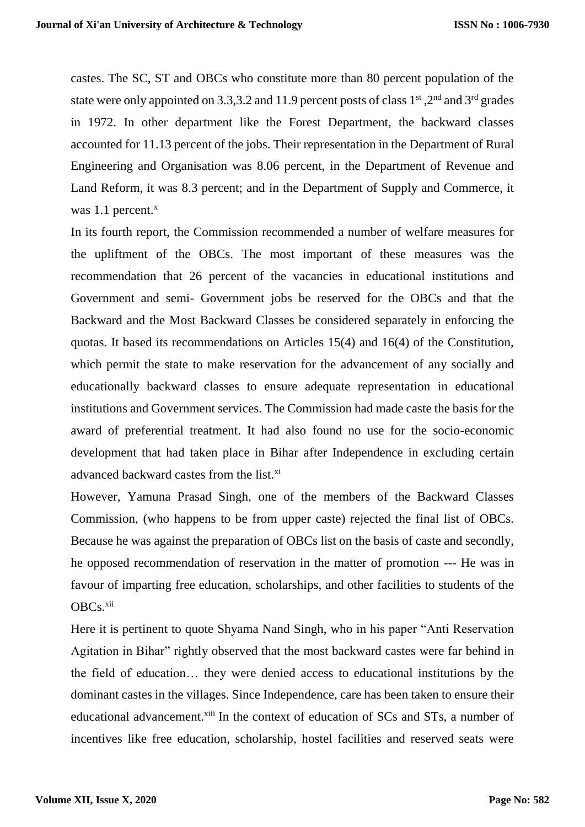castes. The SC, ST and OBCs who constitute more than 80 percent population of the state were only appointed on 3.3,3.2 and 11.9 percent posts of class 1<sup>st</sup>, 2<sup>nd</sup> and 3<sup>rd</sup> grades in 1972. In other department like the Forest Department, the backward classes accounted for 11.13 percent of the jobs. Their representation in the Department of Rural Engineering and Organisation was 8.06 percent, in the Department of Revenue and Land Reform, it was 8.3 percent; and in the Department of Supply and Commerce, it was 1.1 percent.<sup>x</sup>

In its fourth report, the Commission recommended a number of welfare measures for the upliftment of the OBCs. The most important of these measures was the recommendation that 26 percent of the vacancies in educational institutions and Government and semi- Government jobs be reserved for the OBCs and that the Backward and the Most Backward Classes be considered separately in enforcing the quotas. It based its recommendations on Articles 15(4) and 16(4) of the Constitution, which permit the state to make reservation for the advancement of any socially and educationally backward classes to ensure adequate representation in educational institutions and Government services. The Commission had made caste the basis for the award of preferential treatment. It had also found no use for the socio-economic development that had taken place in Bihar after Independence in excluding certain advanced backward castes from the list.<sup>xi</sup>

However, Yamuna Prasad Singh, one of the members of the Backward Classes Commission, (who happens to be from upper caste) rejected the final list of OBCs. Because he was against the preparation of OBCs list on the basis of caste and secondly, he opposed recommendation of reservation in the matter of promotion --- He was in favour of imparting free education, scholarships, and other facilities to students of the OBCs.<sup>xii</sup>

Here it is pertinent to quote Shyama Nand Singh, who in his paper "Anti Reservation Agitation in Bihar" rightly observed that the most backward castes were far behind in the field of education… they were denied access to educational institutions by the dominant castes in the villages. Since Independence, care has been taken to ensure their educational advancement.<sup>xiii</sup> In the context of education of SCs and STs, a number of incentives like free education, scholarship, hostel facilities and reserved seats were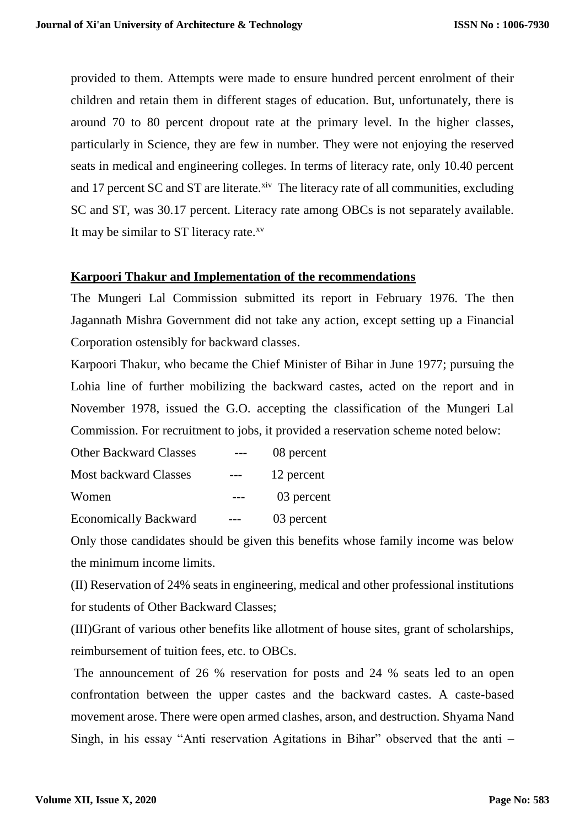provided to them. Attempts were made to ensure hundred percent enrolment of their children and retain them in different stages of education. But, unfortunately, there is around 70 to 80 percent dropout rate at the primary level. In the higher classes, particularly in Science, they are few in number. They were not enjoying the reserved seats in medical and engineering colleges. In terms of literacy rate, only 10.40 percent and 17 percent SC and ST are literate. ${}^{xiv}$  The literacy rate of all communities, excluding SC and ST, was 30.17 percent. Literacy rate among OBCs is not separately available. It may be similar to ST literacy rate.<sup>xv</sup>

# **Karpoori Thakur and Implementation of the recommendations**

The Mungeri Lal Commission submitted its report in February 1976. The then Jagannath Mishra Government did not take any action, except setting up a Financial Corporation ostensibly for backward classes.

Karpoori Thakur, who became the Chief Minister of Bihar in June 1977; pursuing the Lohia line of further mobilizing the backward castes, acted on the report and in November 1978, issued the G.O. accepting the classification of the Mungeri Lal Commission. For recruitment to jobs, it provided a reservation scheme noted below:

| <b>Other Backward Classes</b> | 08 percent |
|-------------------------------|------------|
| <b>Most backward Classes</b>  | 12 percent |
| Women                         | 03 percent |
| <b>Economically Backward</b>  | 03 percent |

Only those candidates should be given this benefits whose family income was below the minimum income limits.

(II) Reservation of 24% seats in engineering, medical and other professional institutions for students of Other Backward Classes;

(III)Grant of various other benefits like allotment of house sites, grant of scholarships, reimbursement of tuition fees, etc. to OBCs.

The announcement of 26 % reservation for posts and 24 % seats led to an open confrontation between the upper castes and the backward castes. A caste-based movement arose. There were open armed clashes, arson, and destruction. Shyama Nand Singh, in his essay "Anti reservation Agitations in Bihar" observed that the anti –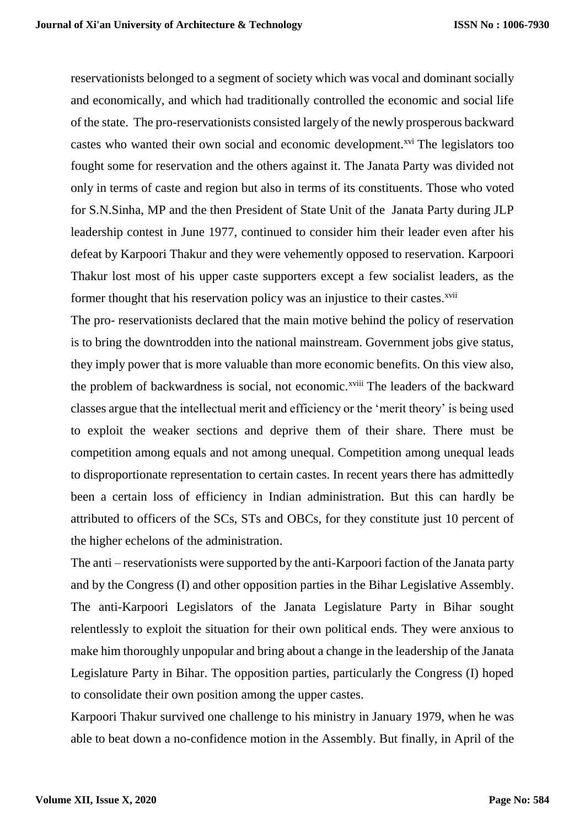reservationists belonged to a segment of society which was vocal and dominant socially and economically, and which had traditionally controlled the economic and social life of the state. The pro-reservationists consisted largely of the newly prosperous backward castes who wanted their own social and economic development.<sup>xvi</sup> The legislators too fought some for reservation and the others against it. The Janata Party was divided not only in terms of caste and region but also in terms of its constituents. Those who voted for S.N.Sinha, MP and the then President of State Unit of the Janata Party during JLP leadership contest in June 1977, continued to consider him their leader even after his defeat by Karpoori Thakur and they were vehemently opposed to reservation. Karpoori Thakur lost most of his upper caste supporters except a few socialist leaders, as the former thought that his reservation policy was an injustice to their castes.<sup>xvii</sup>

The pro- reservationists declared that the main motive behind the policy of reservation is to bring the downtrodden into the national mainstream. Government jobs give status, they imply power that is more valuable than more economic benefits. On this view also, the problem of backwardness is social, not economic.<sup>xviii</sup> The leaders of the backward classes argue that the intellectual merit and efficiency or the 'merit theory' is being used to exploit the weaker sections and deprive them of their share. There must be competition among equals and not among unequal. Competition among unequal leads to disproportionate representation to certain castes. In recent years there has admittedly been a certain loss of efficiency in Indian administration. But this can hardly be attributed to officers of the SCs, STs and OBCs, for they constitute just 10 percent of the higher echelons of the administration.

The anti – reservationists were supported by the anti-Karpoori faction of the Janata party and by the Congress (I) and other opposition parties in the Bihar Legislative Assembly. The anti-Karpoori Legislators of the Janata Legislature Party in Bihar sought relentlessly to exploit the situation for their own political ends. They were anxious to make him thoroughly unpopular and bring about a change in the leadership of the Janata Legislature Party in Bihar. The opposition parties, particularly the Congress (I) hoped to consolidate their own position among the upper castes.

Karpoori Thakur survived one challenge to his ministry in January 1979, when he was able to beat down a no-confidence motion in the Assembly. But finally, in April of the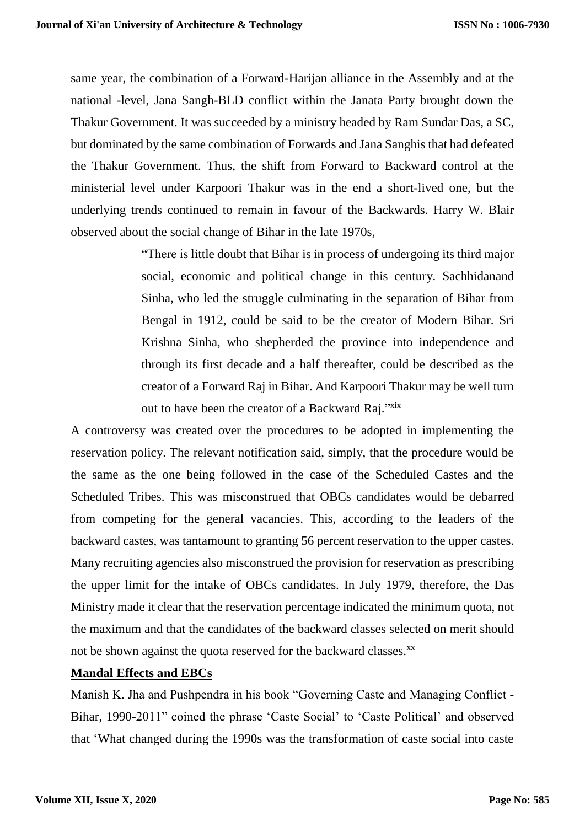same year, the combination of a Forward-Harijan alliance in the Assembly and at the national -level, Jana Sangh-BLD conflict within the Janata Party brought down the Thakur Government. It was succeeded by a ministry headed by Ram Sundar Das, a SC, but dominated by the same combination of Forwards and Jana Sanghis that had defeated the Thakur Government. Thus, the shift from Forward to Backward control at the ministerial level under Karpoori Thakur was in the end a short-lived one, but the underlying trends continued to remain in favour of the Backwards. Harry W. Blair observed about the social change of Bihar in the late 1970s,

> "There is little doubt that Bihar is in process of undergoing its third major social, economic and political change in this century. Sachhidanand Sinha, who led the struggle culminating in the separation of Bihar from Bengal in 1912, could be said to be the creator of Modern Bihar. Sri Krishna Sinha, who shepherded the province into independence and through its first decade and a half thereafter, could be described as the creator of a Forward Raj in Bihar. And Karpoori Thakur may be well turn out to have been the creator of a Backward Raj."xix

A controversy was created over the procedures to be adopted in implementing the reservation policy. The relevant notification said, simply, that the procedure would be the same as the one being followed in the case of the Scheduled Castes and the Scheduled Tribes. This was misconstrued that OBCs candidates would be debarred from competing for the general vacancies. This, according to the leaders of the backward castes, was tantamount to granting 56 percent reservation to the upper castes. Many recruiting agencies also misconstrued the provision for reservation as prescribing the upper limit for the intake of OBCs candidates. In July 1979, therefore, the Das Ministry made it clear that the reservation percentage indicated the minimum quota, not the maximum and that the candidates of the backward classes selected on merit should not be shown against the quota reserved for the backward classes.<sup>xx</sup>

## **Mandal Effects and EBCs**

Manish K. Jha and Pushpendra in his book "Governing Caste and Managing Conflict - Bihar, 1990-2011" coined the phrase 'Caste Social' to 'Caste Political' and observed that 'What changed during the 1990s was the transformation of caste social into caste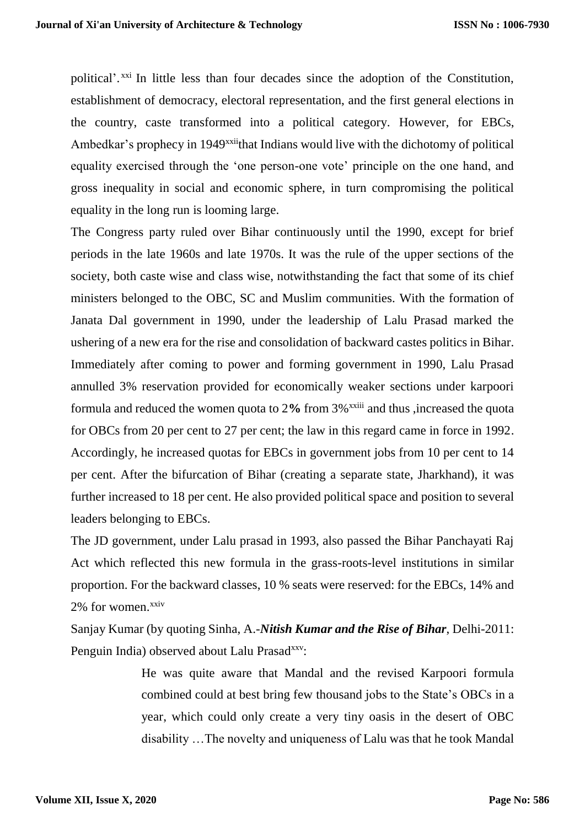political'.<sup>xxi</sup> In little less than four decades since the adoption of the Constitution, establishment of democracy, electoral representation, and the first general elections in the country, caste transformed into a political category. However, for EBCs, Ambedkar's prophecy in 1949<sup>xxii</sup>that Indians would live with the dichotomy of political equality exercised through the 'one person-one vote' principle on the one hand, and gross inequality in social and economic sphere, in turn compromising the political equality in the long run is looming large.

The Congress party ruled over Bihar continuously until the 1990, except for brief periods in the late 1960s and late 1970s. It was the rule of the upper sections of the society, both caste wise and class wise, notwithstanding the fact that some of its chief ministers belonged to the OBC, SC and Muslim communities. With the formation of Janata Dal government in 1990, under the leadership of Lalu Prasad marked the ushering of a new era for the rise and consolidation of backward castes politics in Bihar. Immediately after coming to power and forming government in 1990, Lalu Prasad annulled 3% reservation provided for economically weaker sections under karpoori formula and reduced the women quota to 2**%** from 3%xxiii and thus ,increased the quota for OBCs from 20 per cent to 27 per cent; the law in this regard came in force in 1992. Accordingly, he increased quotas for EBCs in government jobs from 10 per cent to 14 per cent. After the bifurcation of Bihar (creating a separate state, Jharkhand), it was further increased to 18 per cent. He also provided political space and position to several leaders belonging to EBCs.

The JD government, under Lalu prasad in 1993, also passed the Bihar Panchayati Raj Act which reflected this new formula in the grass-roots-level institutions in similar proportion. For the backward classes, 10 % seats were reserved: for the EBCs, 14% and 2% for women.xxiv

Sanjay Kumar (by quoting Sinha, A.-*Nitish Kumar and the Rise of Bihar*, Delhi-2011: Penguin India) observed about Lalu Prasad<sup>xxv</sup>:

> He was quite aware that Mandal and the revised Karpoori formula combined could at best bring few thousand jobs to the State's OBCs in a year, which could only create a very tiny oasis in the desert of OBC disability …The novelty and uniqueness of Lalu was that he took Mandal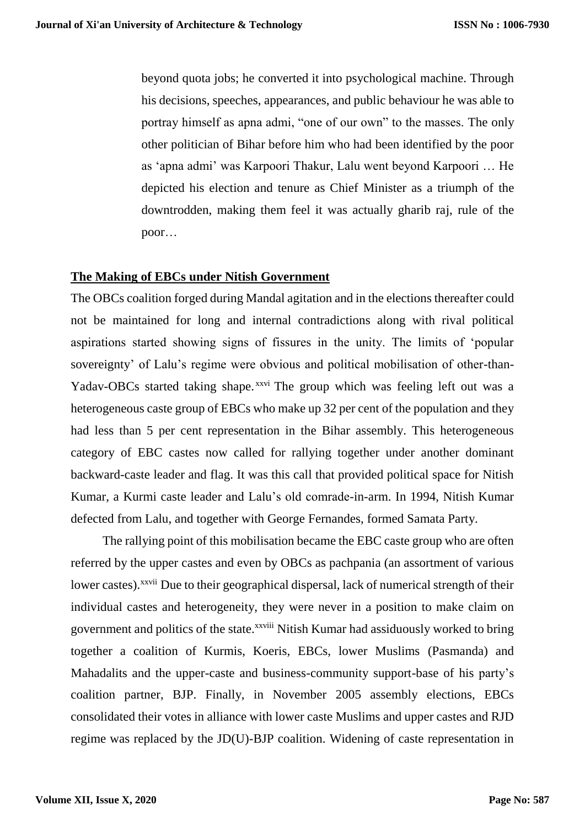beyond quota jobs; he converted it into psychological machine. Through his decisions, speeches, appearances, and public behaviour he was able to portray himself as apna admi, "one of our own" to the masses. The only other politician of Bihar before him who had been identified by the poor as 'apna admi' was Karpoori Thakur, Lalu went beyond Karpoori … He depicted his election and tenure as Chief Minister as a triumph of the downtrodden, making them feel it was actually gharib raj, rule of the poor…

# **The Making of EBCs under Nitish Government**

The OBCs coalition forged during Mandal agitation and in the elections thereafter could not be maintained for long and internal contradictions along with rival political aspirations started showing signs of fissures in the unity. The limits of 'popular sovereignty' of Lalu's regime were obvious and political mobilisation of other-than-Yadav-OBCs started taking shape. xxvi The group which was feeling left out was a heterogeneous caste group of EBCs who make up 32 per cent of the population and they had less than 5 per cent representation in the Bihar assembly. This heterogeneous category of EBC castes now called for rallying together under another dominant backward-caste leader and flag. It was this call that provided political space for Nitish Kumar, a Kurmi caste leader and Lalu's old comrade-in-arm. In 1994, Nitish Kumar defected from Lalu, and together with George Fernandes, formed Samata Party.

 The rallying point of this mobilisation became the EBC caste group who are often referred by the upper castes and even by OBCs as pachpania (an assortment of various lower castes).<sup>xxvii</sup> Due to their geographical dispersal, lack of numerical strength of their individual castes and heterogeneity, they were never in a position to make claim on government and politics of the state.<sup>xxviii</sup> Nitish Kumar had assiduously worked to bring together a coalition of Kurmis, Koeris, EBCs, lower Muslims (Pasmanda) and Mahadalits and the upper-caste and business-community support-base of his party's coalition partner, BJP. Finally, in November 2005 assembly elections, EBCs consolidated their votes in alliance with lower caste Muslims and upper castes and RJD regime was replaced by the JD(U)-BJP coalition. Widening of caste representation in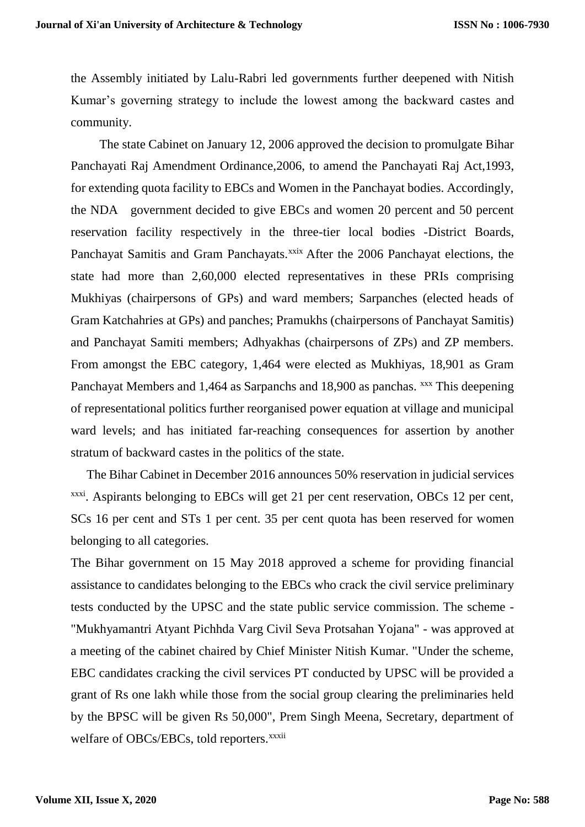the Assembly initiated by Lalu-Rabri led governments further deepened with Nitish Kumar's governing strategy to include the lowest among the backward castes and community.

 The state Cabinet on January 12, 2006 approved the decision to promulgate Bihar Panchayati Raj Amendment Ordinance,2006, to amend the Panchayati Raj Act,1993, for extending quota facility to EBCs and Women in the Panchayat bodies. Accordingly, the NDA government decided to give EBCs and women 20 percent and 50 percent reservation facility respectively in the three-tier local bodies -District Boards, Panchayat Samitis and Gram Panchayats.<sup>xxix</sup> After the 2006 Panchayat elections, the state had more than 2,60,000 elected representatives in these PRIs comprising Mukhiyas (chairpersons of GPs) and ward members; Sarpanches (elected heads of Gram Katchahries at GPs) and panches; Pramukhs (chairpersons of Panchayat Samitis) and Panchayat Samiti members; Adhyakhas (chairpersons of ZPs) and ZP members. From amongst the EBC category, 1,464 were elected as Mukhiyas, 18,901 as Gram Panchayat Members and 1,464 as Sarpanchs and 18,900 as panchas. xxx This deepening of representational politics further reorganised power equation at village and municipal ward levels; and has initiated far-reaching consequences for assertion by another stratum of backward castes in the politics of the state.

 The Bihar Cabinet in December 2016 announces 50% reservation in judicial services xxxi. Aspirants belonging to EBCs will get 21 per cent reservation, OBCs 12 per cent, SCs 16 per cent and STs 1 per cent. 35 per cent quota has been reserved for women belonging to all categories.

The Bihar government on 15 May 2018 approved a scheme for providing financial assistance to candidates belonging to the EBCs who crack the civil service preliminary tests conducted by the UPSC and the state public service commission. The scheme - "Mukhyamantri Atyant Pichhda Varg Civil Seva Protsahan Yojana" - was approved at a meeting of the cabinet chaired by Chief Minister Nitish Kumar. "Under the scheme, EBC candidates cracking the civil services PT conducted by UPSC will be provided a grant of Rs one lakh while those from the social group clearing the preliminaries held by the BPSC will be given Rs 50,000", Prem Singh Meena, Secretary, department of welfare of OBCs/EBCs, told reporters.<sup>xxxii</sup>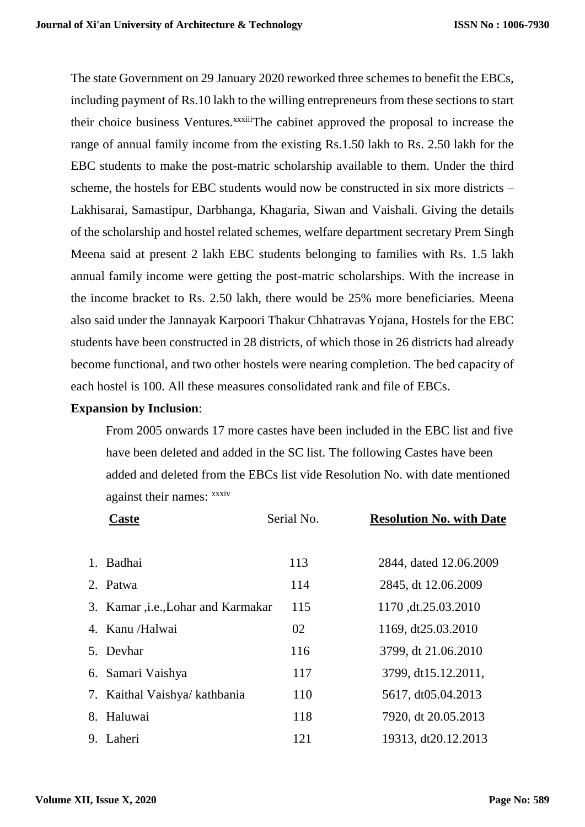The state Government on 29 January 2020 reworked three schemes to benefit the EBCs, including payment of Rs.10 lakh to the willing entrepreneurs from these sections to start their choice business Ventures.<sup>xxxiii</sup>The cabinet approved the proposal to increase the range of annual family income from the existing Rs.1.50 lakh to Rs. 2.50 lakh for the EBC students to make the post-matric scholarship available to them. Under the third scheme, the hostels for EBC students would now be constructed in six more districts – Lakhisarai, Samastipur, Darbhanga, Khagaria, Siwan and Vaishali. Giving the details of the scholarship and hostel related schemes, welfare department secretary Prem Singh Meena said at present 2 lakh EBC students belonging to families with Rs. 1.5 lakh annual family income were getting the post-matric scholarships. With the increase in the income bracket to Rs. 2.50 lakh, there would be 25% more beneficiaries. Meena also said under the Jannayak Karpoori Thakur Chhatravas Yojana, Hostels for the EBC students have been constructed in 28 districts, of which those in 26 districts had already become functional, and two other hostels were nearing completion. The bed capacity of each hostel is 100. All these measures consolidated rank and file of EBCs.

# **Expansion by Inclusion**:

 From 2005 onwards 17 more castes have been included in the EBC list and five have been deleted and added in the SC list. The following Castes have been added and deleted from the EBCs list vide Resolution No. with date mentioned against their names: xxxiv

| Caste                               | Serial No. | <b>Resolution No. with Date</b> |
|-------------------------------------|------------|---------------------------------|
| 1. Badhai                           | 113        | 2844, dated 12.06.2009          |
| 2. Patwa                            | 114        | 2845, dt 12.06.2009             |
| 3. Kamar , i.e., Lohar and Karmakar | 115        | 1170, dt.25.03.2010             |
| 4. Kanu/Halwai                      | 02         | 1169, dt25.03.2010              |
| 5. Devhar                           | 116        | 3799, dt 21.06.2010             |
| 6. Samari Vaishya                   | 117        | 3799, dt15.12.2011,             |
| 7. Kaithal Vaishya/ kathbania       | 110        | 5617, dt05.04.2013              |
| 8. Haluwai                          | 118        | 7920, dt 20.05.2013             |
| 9. Laheri                           | 121        | 19313, dt20.12.2013             |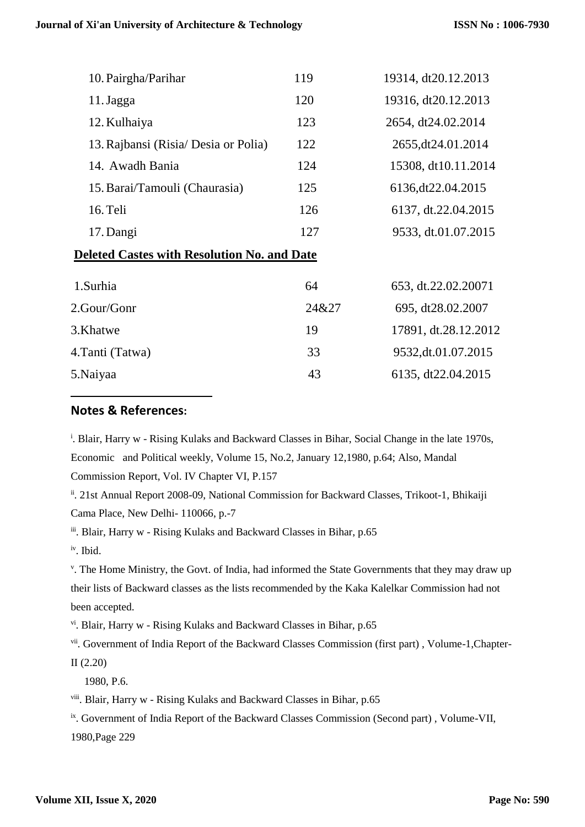| 10. Pairgha/Parihar                                | 119 | 19314, dt20.12.2013  |  |  |
|----------------------------------------------------|-----|----------------------|--|--|
| 11. Jagga                                          | 120 | 19316, dt20.12.2013  |  |  |
| 12. Kulhaiya                                       | 123 | 2654, dt24.02.2014   |  |  |
| 13. Rajbansi (Risia/ Desia or Polia)               | 122 | 2655, dt 24.01.2014  |  |  |
| 14. Awadh Bania                                    | 124 | 15308, dt10.11.2014  |  |  |
| 15. Barai/Tamouli (Chaurasia)                      | 125 | 6136, dt 22.04. 2015 |  |  |
| $16.$ Teli                                         | 126 | 6137, dt.22.04.2015  |  |  |
| 17. Dangi                                          | 127 | 9533, dt.01.07.2015  |  |  |
| <b>Deleted Castes with Resolution No. and Date</b> |     |                      |  |  |
|                                                    |     |                      |  |  |

| 1. Surhia        | 64    | 653, dt.22.02.20071  |
|------------------|-------|----------------------|
| 2.Gour/Gonr      | 24&27 | 695, dt28.02.2007    |
| 3.Khatwe         | 19    | 17891, dt.28.12.2012 |
| 4. Tanti (Tatwa) | 33    | 9532, dt.01.07.2015  |
| 5. Naiyaa        | 43    | 6135, dt22.04.2015   |

### **Notes & References:**

<sup>i</sup>. Blair, Harry w - Rising Kulaks and Backward Classes in Bihar, Social Change in the late 1970s, Economic and Political weekly, Volume 15, No.2, January 12,1980, p.64; Also, Mandal Commission Report, Vol. IV Chapter VI, P.157

ii. 21st Annual Report 2008-09, National Commission for Backward Classes, Trikoot-1, Bhikaiji Cama Place, New Delhi- 110066, p.-7

iii. Blair, Harry w - Rising Kulaks and Backward Classes in Bihar, p.65

iv . Ibid.

-

v . The Home Ministry, the Govt. of India, had informed the State Governments that they may draw up their lists of Backward classes as the lists recommended by the Kaka Kalelkar Commission had not been accepted.

vi . Blair, Harry w - Rising Kulaks and Backward Classes in Bihar, p.65

vii. Government of India Report of the Backward Classes Commission (first part), Volume-1, Chapter-

II (2.20)

1980, P.6.

viii. Blair, Harry w - Rising Kulaks and Backward Classes in Bihar, p.65

<sup>ix</sup>. Government of India Report of the Backward Classes Commission (Second part), Volume-VII, 1980,Page 229